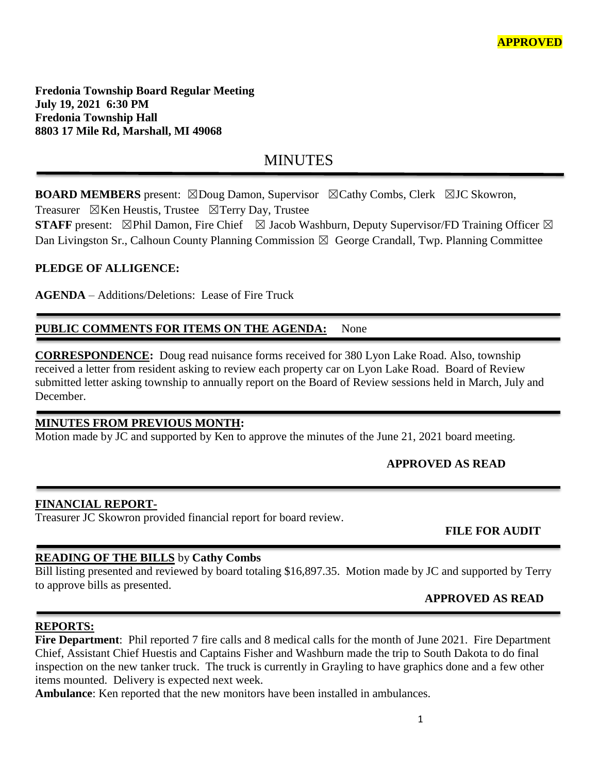**Fredonia Township Board Regular Meeting July 19, 2021 6:30 PM Fredonia Township Hall 8803 17 Mile Rd, Marshall, MI 49068**

# **MINUTES**

**BOARD MEMBERS** present: ⊠Doug Damon, Supervisor ⊠Cathy Combs, Clerk ⊠JC Skowron, Treasurer  $\boxtimes$ Ken Heustis, Trustee  $\boxtimes$ Terry Day, Trustee

**STAFF** present:  $\boxtimes$ Phil Damon, Fire Chief  $\boxtimes$  Jacob Washburn, Deputy Supervisor/FD Training Officer  $\boxtimes$ 

Dan Livingston Sr., Calhoun County Planning Commission  $\boxtimes$  George Crandall, Twp. Planning Committee

## **PLEDGE OF ALLIGENCE:**

**AGENDA** – Additions/Deletions: Lease of Fire Truck

## PUBLIC COMMENTS FOR ITEMS ON THE AGENDA: None

**CORRESPONDENCE:** Doug read nuisance forms received for 380 Lyon Lake Road. Also, township received a letter from resident asking to review each property car on Lyon Lake Road. Board of Review submitted letter asking township to annually report on the Board of Review sessions held in March, July and December.

## **MINUTES FROM PREVIOUS MONTH:**

Motion made by JC and supported by Ken to approve the minutes of the June 21, 2021 board meeting.

## **APPROVED AS READ**

#### **FINANCIAL REPORT-**

Treasurer JC Skowron provided financial report for board review.

## **FILE FOR AUDIT**

## **READING OF THE BILLS** by **Cathy Combs**

Bill listing presented and reviewed by board totaling \$16,897.35. Motion made by JC and supported by Terry to approve bills as presented.

## **APPROVED AS READ**

## **REPORTS:**

**Fire Department**: Phil reported 7 fire calls and 8 medical calls for the month of June 2021. Fire Department Chief, Assistant Chief Huestis and Captains Fisher and Washburn made the trip to South Dakota to do final inspection on the new tanker truck. The truck is currently in Grayling to have graphics done and a few other items mounted. Delivery is expected next week.

**Ambulance**: Ken reported that the new monitors have been installed in ambulances.